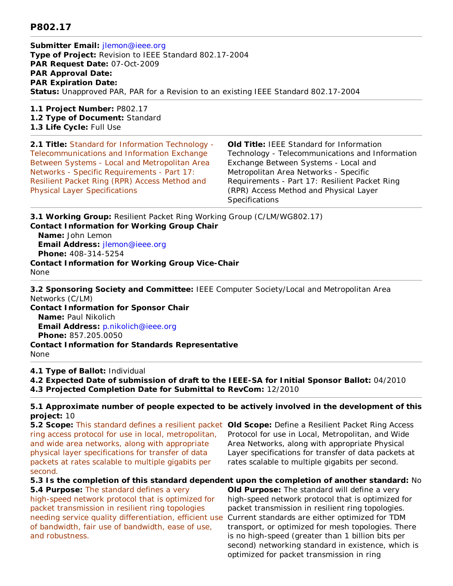## **P802.17**

**Submitter Email:** jlemon@ieee.org **Type of Project:** Revision to IEEE Standard 802.17-2004 **PAR Request Date:** 07-Oct-2009 **PAR Approval Date: PAR Expiration Date: Status:** Unapproved PAR, PAR for a Revision to an existing IEEE Standard 802.17-2004

**1.1 Project Number:** P802.17 **1.2 Type of Document:** Standard **1.3 Life Cycle:** Full Use

**2.1 Title:** Standard for Information Technology - Telecommunications and Information Exchange Between Systems - Local and Metropolitan Area Networks - Specific Requirements - Part 17: Resilient Packet Ring (RPR) Access Method and Physical Layer Specifications

**Old Title:** IEEE Standard for Information Technology - Telecommunications and Information Exchange Between Systems - Local and Metropolitan Area Networks - Specific Requirements - Part 17: Resilient Packet Ring (RPR) Access Method and Physical Layer **Specifications** 

**3.1 Working Group:** Resilient Packet Ring Working Group (C/LM/WG802.17) **Contact Information for Working Group Chair**

 **Name:** John Lemon **Email Address:** jlemon@ieee.org **Phone:** 408-314-5254 **Contact Information for Working Group Vice-Chair** None

**3.2 Sponsoring Society and Committee:** IEEE Computer Society/Local and Metropolitan Area Networks (C/LM)

**Contact Information for Sponsor Chair Name:** Paul Nikolich **Email Address:** p.nikolich@ieee.org **Phone:** 857.205.0050 **Contact Information for Standards Representative** None

**4.1 Type of Ballot:** Individual

**4.2 Expected Date of submission of draft to the IEEE-SA for Initial Sponsor Ballot:** 04/2010

**4.3 Projected Completion Date for Submittal to RevCom:** 12/2010

**5.1 Approximate number of people expected to be actively involved in the development of this project:** 10

**5.2 Scope:** This standard defines a resilient packet **Old Scope:** Define a Resilient Packet Ring Access ring access protocol for use in local, metropolitan, and wide area networks, along with appropriate physical layer specifications for transfer of data packets at rates scalable to multiple gigabits per second.

Protocol for use in Local, Metropolitan, and Wide Area Networks, along with appropriate Physical Layer specifications for transfer of data packets at rates scalable to multiple gigabits per second.

**5.3 Is the completion of this standard dependent upon the completion of another standard:** No **5.4 Purpose: The standard defines a very** high-speed network protocol that is optimized for packet transmission in resilient ring topologies needing service quality differentiation, efficient use of bandwidth, fair use of bandwidth, ease of use, and robustness.

**Old Purpose:** The standard will define a very high-speed network protocol that is optimized for packet transmission in resilient ring topologies. Current standards are either optimized for TDM transport, or optimized for mesh topologies. There is no high-speed (greater than 1 billion bits per second) networking standard in existence, which is optimized for packet transmission in ring